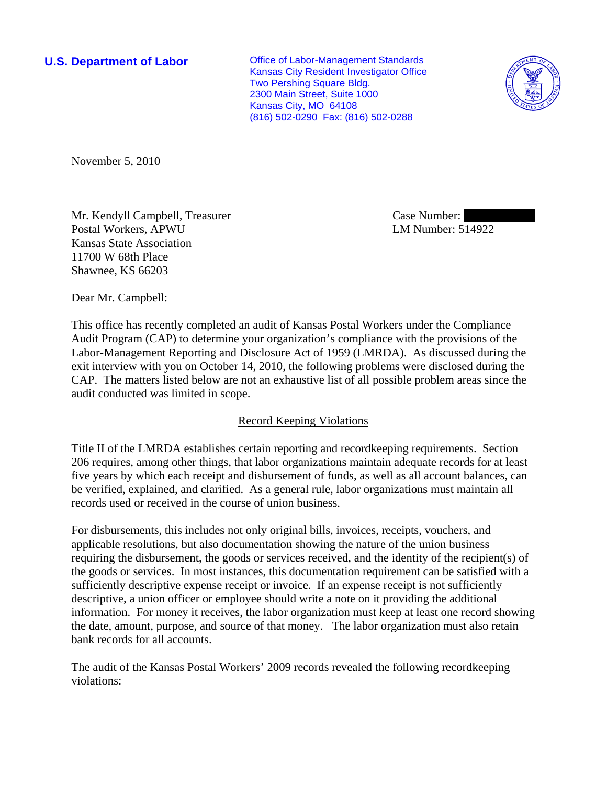**U.S. Department of Labor Conservative Conservative Conservative Conservative Conservative Conservative Conservative Conservative Conservative Conservative Conservative Conservative Conservative Conservative Conservative** Kansas City Resident Investigator Office Two Pershing Square Bldg. 2300 Main Street, Suite 1000 Kansas City, MO 64108 (816) 502-0290 Fax: (816) 502-0288



November 5, 2010

Mr. Kendyll Campbell, Treasurer Postal Workers, APWU Kansas State Association 11700 W 68th Place Shawnee, KS 66203

Case Number: LM Number: 514922

Dear Mr. Campbell:

This office has recently completed an audit of Kansas Postal Workers under the Compliance Audit Program (CAP) to determine your organization's compliance with the provisions of the Labor-Management Reporting and Disclosure Act of 1959 (LMRDA). As discussed during the exit interview with you on October 14, 2010, the following problems were disclosed during the CAP. The matters listed below are not an exhaustive list of all possible problem areas since the audit conducted was limited in scope.

# Record Keeping Violations

Title II of the LMRDA establishes certain reporting and recordkeeping requirements. Section 206 requires, among other things, that labor organizations maintain adequate records for at least five years by which each receipt and disbursement of funds, as well as all account balances, can be verified, explained, and clarified. As a general rule, labor organizations must maintain all records used or received in the course of union business.

For disbursements, this includes not only original bills, invoices, receipts, vouchers, and applicable resolutions, but also documentation showing the nature of the union business requiring the disbursement, the goods or services received, and the identity of the recipient(s) of the goods or services. In most instances, this documentation requirement can be satisfied with a sufficiently descriptive expense receipt or invoice. If an expense receipt is not sufficiently descriptive, a union officer or employee should write a note on it providing the additional information. For money it receives, the labor organization must keep at least one record showing the date, amount, purpose, and source of that money. The labor organization must also retain bank records for all accounts.

The audit of the Kansas Postal Workers' 2009 records revealed the following recordkeeping violations: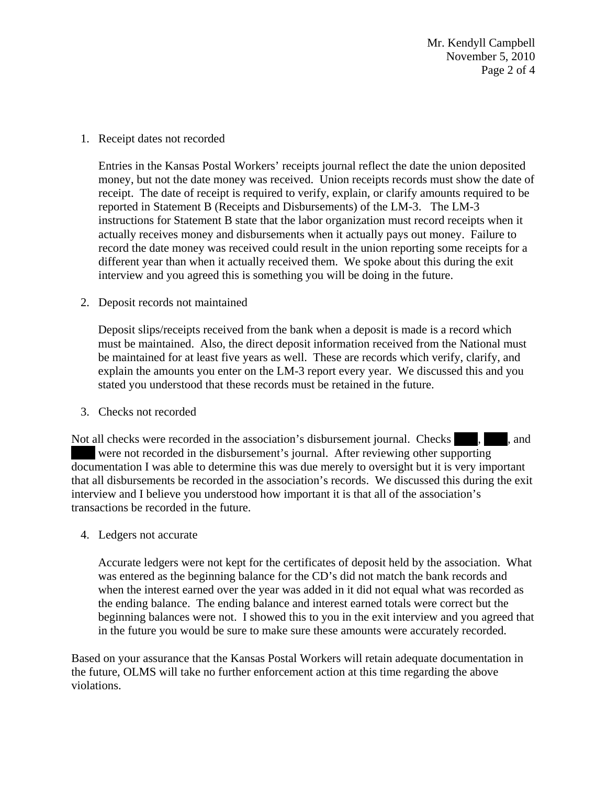Mr. Kendyll Campbell November 5, 2010 Page 2 of 4

## 1. Receipt dates not recorded

Entries in the Kansas Postal Workers' receipts journal reflect the date the union deposited money, but not the date money was received. Union receipts records must show the date of receipt. The date of receipt is required to verify, explain, or clarify amounts required to be reported in Statement B (Receipts and Disbursements) of the LM-3. The LM-3 instructions for Statement B state that the labor organization must record receipts when it actually receives money and disbursements when it actually pays out money. Failure to record the date money was received could result in the union reporting some receipts for a different year than when it actually received them. We spoke about this during the exit interview and you agreed this is something you will be doing in the future.

## 2. Deposit records not maintained

Deposit slips/receipts received from the bank when a deposit is made is a record which must be maintained. Also, the direct deposit information received from the National must be maintained for at least five years as well. These are records which verify, clarify, and explain the amounts you enter on the LM-3 report every year. We discussed this and you stated you understood that these records must be retained in the future.

### 3. Checks not recorded

Not all checks were recorded in the association's disbursement journal. Checks  $\blacksquare$ , and | were not recorded in the disbursement's journal. After reviewing other supporting documentation I was able to determine this was due merely to oversight but it is very important that all disbursements be recorded in the association's records. We discussed this during the exit interview and I believe you understood how important it is that all of the association's transactions be recorded in the future.

4. Ledgers not accurate

Accurate ledgers were not kept for the certificates of deposit held by the association. What was entered as the beginning balance for the CD's did not match the bank records and when the interest earned over the year was added in it did not equal what was recorded as the ending balance. The ending balance and interest earned totals were correct but the beginning balances were not. I showed this to you in the exit interview and you agreed that in the future you would be sure to make sure these amounts were accurately recorded.

Based on your assurance that the Kansas Postal Workers will retain adequate documentation in the future, OLMS will take no further enforcement action at this time regarding the above violations.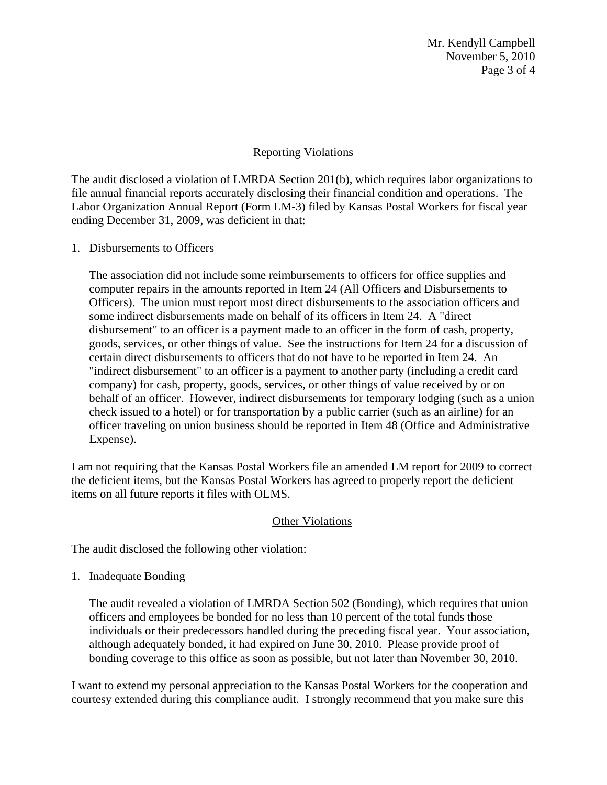Mr. Kendyll Campbell November 5, 2010 Page 3 of 4

## Reporting Violations

The audit disclosed a violation of LMRDA Section 201(b), which requires labor organizations to file annual financial reports accurately disclosing their financial condition and operations. The Labor Organization Annual Report (Form LM-3) filed by Kansas Postal Workers for fiscal year ending December 31, 2009, was deficient in that:

## 1. Disbursements to Officers

The association did not include some reimbursements to officers for office supplies and computer repairs in the amounts reported in Item 24 (All Officers and Disbursements to Officers). The union must report most direct disbursements to the association officers and some indirect disbursements made on behalf of its officers in Item 24. A "direct disbursement" to an officer is a payment made to an officer in the form of cash, property, goods, services, or other things of value. See the instructions for Item 24 for a discussion of certain direct disbursements to officers that do not have to be reported in Item 24. An "indirect disbursement" to an officer is a payment to another party (including a credit card company) for cash, property, goods, services, or other things of value received by or on behalf of an officer. However, indirect disbursements for temporary lodging (such as a union check issued to a hotel) or for transportation by a public carrier (such as an airline) for an officer traveling on union business should be reported in Item 48 (Office and Administrative Expense).

I am not requiring that the Kansas Postal Workers file an amended LM report for 2009 to correct the deficient items, but the Kansas Postal Workers has agreed to properly report the deficient items on all future reports it files with OLMS.

### **Other Violations**

The audit disclosed the following other violation:

1. Inadequate Bonding

The audit revealed a violation of LMRDA Section 502 (Bonding), which requires that union officers and employees be bonded for no less than 10 percent of the total funds those individuals or their predecessors handled during the preceding fiscal year. Your association, although adequately bonded, it had expired on June 30, 2010. Please provide proof of bonding coverage to this office as soon as possible, but not later than November 30, 2010.

I want to extend my personal appreciation to the Kansas Postal Workers for the cooperation and courtesy extended during this compliance audit. I strongly recommend that you make sure this